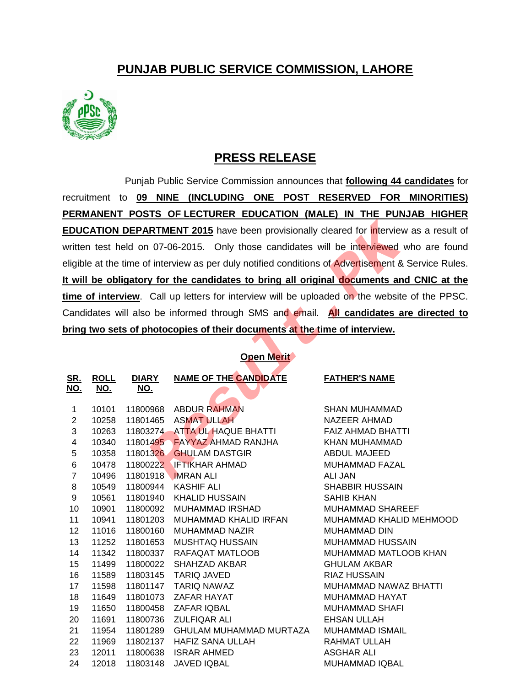## **PUNJAB PUBLIC SERVICE COMMISSION, LAHORE**



## **PRESS RELEASE**

Punjab Public Service Commission announces that **following 44 candidates** for recruitment to **09 NINE (INCLUDING ONE POST RESERVED FOR MINORITIES) PERMANENT POSTS OF LECTURER EDUCATION (MALE) IN THE PUNJAB HIGHER EDUCATION DEPARTMENT 2015** have been provisionally cleared for interview as a result of written test held on 07-06-2015. Only those candidates will be interviewed who are found eligible at the time of interview as per duly notified conditions of Advertisement & Service Rules. **It will be obligatory for the candidates to bring all original documents and CNIC at the time of interview**. Call up letters for interview will be uploaded on the website of the PPSC. Candidates will also be informed through SMS and email. **All candidates are directed to bring two sets of photocopies of their documents at the time of interview. RTMENT 2015** have been provisionally cleared for interview<br>
107-06-2015. Only those candidates will be interviewed<br>
16 interview as per duly notified conditions of Advertisement &<br>
16 y for the candidates to bring all ori

## **Open Merit**

| <u>SR.</u><br><u>NO.</u> | <b>ROLL</b><br><u>NO.</u> | <b>DIARY</b><br><u>NO.</u> | <u>NAME OF THE CANDIDATE</u> | <b>FATHER'S NAME</b>     |
|--------------------------|---------------------------|----------------------------|------------------------------|--------------------------|
|                          |                           |                            |                              |                          |
| 1                        | 10101                     | 11800968                   | <b>ABDUR RAHMAN</b>          | <b>SHAN MUHAMMAD</b>     |
| $\overline{2}$           | 10258                     | 11801465                   | <b>ASMAT ULLAH</b>           | <b>NAZEER AHMAD</b>      |
| 3                        | 10263                     | 11803274                   | ATTA UL HAQUE BHATTI         | <b>FAIZ AHMAD BHATTI</b> |
| 4                        | 10340                     |                            | 11801495 FAYYAZ AHMAD RANJHA | <b>KHAN MUHAMMAD</b>     |
| 5                        | 10358                     | 11801326                   | <b>GHULAM DASTGIR</b>        | ABDUL MAJEED             |
| 6                        | 10478                     | 11800222                   | <b>IETIKHAR AHMAD</b>        | <b>MUHAMMAD FAZAL</b>    |
| $\overline{7}$           | 10496                     | 11801918                   | <b>IMRAN ALI</b>             | <b>ALI JAN</b>           |
| 8                        | 10549                     | 11800944                   | <b>KASHIF ALI</b>            | <b>SHABBIR HUSSAIN</b>   |
| 9                        | 10561                     | 11801940                   | KHALID HUSSAIN               | <b>SAHIB KHAN</b>        |
| 10                       | 10901                     | 11800092                   | <b>MUHAMMAD IRSHAD</b>       | MUHAMMAD SHAREEF         |
| 11                       | 10941                     | 11801203                   | MUHAMMAD KHALID IRFAN        | MUHAMMAD KHALID MEHMOOD  |
| 12                       | 11016                     | 11800160                   | <b>MUHAMMAD NAZIR</b>        | <b>MUHAMMAD DIN</b>      |
| 13                       | 11252                     | 11801653                   | MUSHTAQ HUSSAIN              | <b>MUHAMMAD HUSSAIN</b>  |
| 14                       | 11342                     | 11800337                   | RAFAQAT MATLOOB              | MUHAMMAD MATLOOB KHAN    |
| 15                       | 11499                     | 11800022                   | SHAHZAD AKBAR                | <b>GHULAM AKBAR</b>      |
| 16                       | 11589                     | 11803145                   | <b>TARIQ JAVED</b>           | <b>RIAZ HUSSAIN</b>      |
| 17                       | 11598                     | 11801147                   | TARIQ NAWAZ                  | MUHAMMAD NAWAZ BHATTI    |
| 18                       | 11649                     | 11801073                   | ZAFAR HAYAT                  | MUHAMMAD HAYAT           |
| 19                       | 11650                     | 11800458                   | ZAFAR IQBAL                  | <b>MUHAMMAD SHAFI</b>    |
| 20                       | 11691                     | 11800736                   | <b>ZULFIQAR ALI</b>          | <b>EHSAN ULLAH</b>       |
| 21                       | 11954                     | 11801289                   | GHULAM MUHAMMAD MURTAZA      | <b>MUHAMMAD ISMAIL</b>   |
| 22                       | 11969                     | 11802137                   | <b>HAFIZ SANA ULLAH</b>      | RAHMAT ULLAH             |
| 23                       | 12011                     | 11800638                   | <b>ISRAR AHMED</b>           | <b>ASGHAR ALI</b>        |
| 24                       | 12018                     | 11803148                   | <b>JAVED IQBAL</b>           | <b>MUHAMMAD IQBAL</b>    |